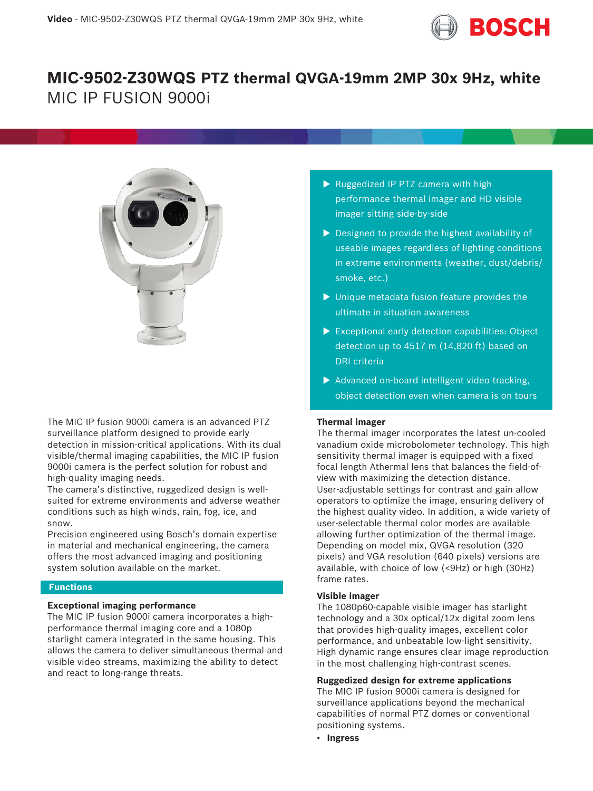

# **MIC-9502-Z30WQS PTZ thermal QVGA-19mm 2MP 30x 9Hz, white** MIC IP FUSION 9000i



The MIC IP fusion 9000i camera is an advanced PTZ surveillance platform designed to provide early detection in mission-critical applications. With its dual visible/thermal imaging capabilities, the MIC IP fusion 9000i camera is the perfect solution for robust and high-quality imaging needs.

The camera's distinctive, ruggedized design is wellsuited for extreme environments and adverse weather conditions such as high winds, rain, fog, ice, and snow.

Precision engineered using Bosch's domain expertise in material and mechanical engineering, the camera offers the most advanced imaging and positioning system solution available on the market.

# **Functions**

# **Exceptional imaging performance**

The MIC IP fusion 9000i camera incorporates a highperformance thermal imaging core and a 1080p starlight camera integrated in the same housing. This allows the camera to deliver simultaneous thermal and visible video streams, maximizing the ability to detect and react to long-range threats.

- $\triangleright$  Ruggedized IP PTZ camera with high performance thermal imager and HD visible imager sitting side-by-side
- $\triangleright$  Designed to provide the highest availability of useable images regardless of lighting conditions in extreme environments (weather, dust/debris/ smoke, etc.)
- $\blacktriangleright$  Unique metadata fusion feature provides the ultimate in situation awareness
- $\triangleright$  Exceptional early detection capabilities: Object detection up to 4517 m (14,820 ft) based on DRI criteria
- $\blacktriangleright$  Advanced on-board intelligent video tracking, object detection even when camera is on tours

# **Thermal imager**

The thermal imager incorporates the latest un-cooled vanadium oxide microbolometer technology. This high sensitivity thermal imager is equipped with a fixed focal length Athermal lens that balances the field-ofview with maximizing the detection distance. User-adjustable settings for contrast and gain allow operators to optimize the image, ensuring delivery of the highest quality video. In addition, a wide variety of user-selectable thermal color modes are available allowing further optimization of the thermal image. Depending on model mix, QVGA resolution (320 pixels) and VGA resolution (640 pixels) versions are available, with choice of low (<9Hz) or high (30Hz) frame rates.

# **Visible imager**

The 1080p60-capable visible imager has starlight technology and a 30x optical/12x digital zoom lens that provides high-quality images, excellent color performance, and unbeatable low-light sensitivity. High dynamic range ensures clear image reproduction in the most challenging high-contrast scenes.

# **Ruggedized design for extreme applications**

The MIC IP fusion 9000i camera is designed for surveillance applications beyond the mechanical capabilities of normal PTZ domes or conventional positioning systems.

• **Ingress**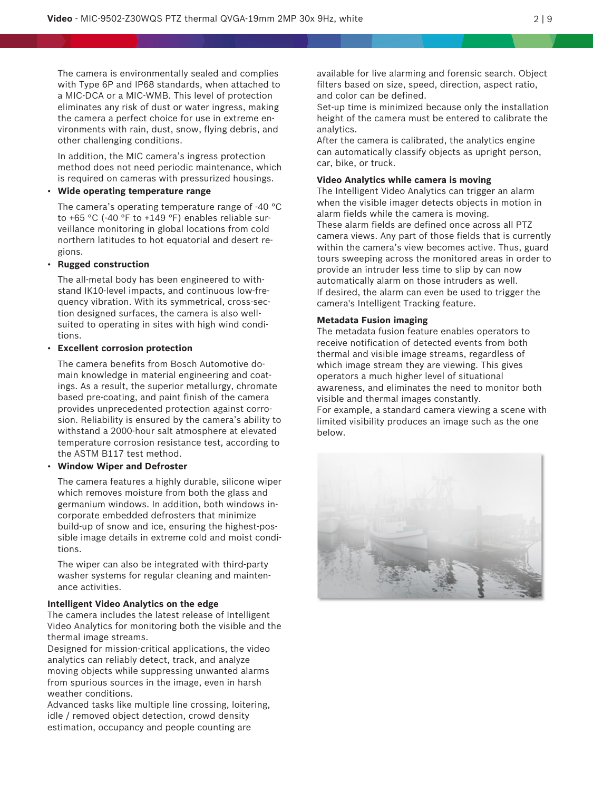The camera is environmentally sealed and complies with Type 6P and IP68 standards, when attached to a MIC-DCA or a MIC-WMB. This level of protection eliminates any risk of dust or water ingress, making the camera a perfect choice for use in extreme environments with rain, dust, snow, flying debris, and other challenging conditions.

In addition, the MIC camera's ingress protection method does not need periodic maintenance, which is required on cameras with pressurized housings.

# • **Wide operating temperature range**

The camera's operating temperature range of -40 °C to +65 °C (-40 °F to +149 °F) enables reliable surveillance monitoring in global locations from cold northern latitudes to hot equatorial and desert regions.

# • **Rugged construction**

The all-metal body has been engineered to withstand IK10-level impacts, and continuous low-frequency vibration. With its symmetrical, cross-section designed surfaces, the camera is also wellsuited to operating in sites with high wind conditions.

# • **Excellent corrosion protection**

The camera benefits from Bosch Automotive domain knowledge in material engineering and coatings. As a result, the superior metallurgy, chromate based pre-coating, and paint finish of the camera provides unprecedented protection against corrosion. Reliability is ensured by the camera's ability to withstand a 2000-hour salt atmosphere at elevated temperature corrosion resistance test, according to the ASTM B117 test method.

### • **Window Wiper and Defroster**

The camera features a highly durable, silicone wiper which removes moisture from both the glass and germanium windows. In addition, both windows incorporate embedded defrosters that minimize build-up of snow and ice, ensuring the highest-possible image details in extreme cold and moist conditions.

The wiper can also be integrated with third-party washer systems for regular cleaning and maintenance activities.

#### **Intelligent Video Analytics on the edge**

The camera includes the latest release of Intelligent Video Analytics for monitoring both the visible and the thermal image streams.

Designed for mission-critical applications, the video analytics can reliably detect, track, and analyze moving objects while suppressing unwanted alarms from spurious sources in the image, even in harsh weather conditions.

Advanced tasks like multiple line crossing, loitering, idle / removed object detection, crowd density estimation, occupancy and people counting are

available for live alarming and forensic search. Object filters based on size, speed, direction, aspect ratio, and color can be defined.

Set-up time is minimized because only the installation height of the camera must be entered to calibrate the analytics.

After the camera is calibrated, the analytics engine can automatically classify objects as upright person, car, bike, or truck.

### **Video Analytics while camera is moving**

The Intelligent Video Analytics can trigger an alarm when the visible imager detects objects in motion in alarm fields while the camera is moving. These alarm fields are defined once across all PTZ camera views. Any part of those fields that is currently within the camera's view becomes active. Thus, guard tours sweeping across the monitored areas in order to provide an intruder less time to slip by can now automatically alarm on those intruders as well. If desired, the alarm can even be used to trigger the camera's Intelligent Tracking feature.

# **Metadata Fusion imaging**

The metadata fusion feature enables operators to receive notification of detected events from both thermal and visible image streams, regardless of which image stream they are viewing. This gives operators a much higher level of situational awareness, and eliminates the need to monitor both visible and thermal images constantly.

For example, a standard camera viewing a scene with limited visibility produces an image such as the one below.

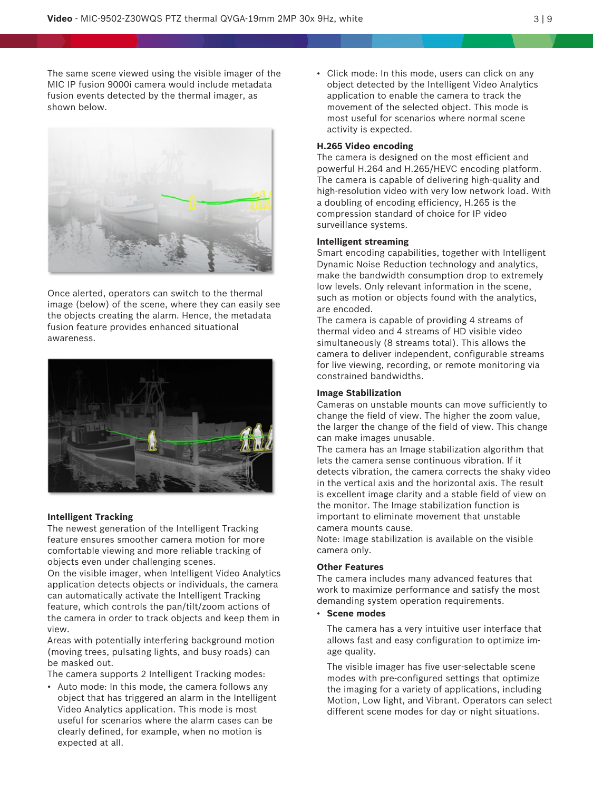The same scene viewed using the visible imager of the MIC IP fusion 9000i camera would include metadata fusion events detected by the thermal imager, as shown below.



Once alerted, operators can switch to the thermal image (below) of the scene, where they can easily see the objects creating the alarm. Hence, the metadata fusion feature provides enhanced situational awareness.



# **Intelligent Tracking**

The newest generation of the Intelligent Tracking feature ensures smoother camera motion for more comfortable viewing and more reliable tracking of objects even under challenging scenes.

On the visible imager, when Intelligent Video Analytics application detects objects or individuals, the camera can automatically activate the Intelligent Tracking feature, which controls the pan/tilt/zoom actions of the camera in order to track objects and keep them in view.

Areas with potentially interfering background motion (moving trees, pulsating lights, and busy roads) can be masked out.

The camera supports 2 Intelligent Tracking modes:

• Auto mode: In this mode, the camera follows any object that has triggered an alarm in the Intelligent Video Analytics application. This mode is most useful for scenarios where the alarm cases can be clearly defined, for example, when no motion is expected at all.

• Click mode: In this mode, users can click on any object detected by the Intelligent Video Analytics application to enable the camera to track the movement of the selected object. This mode is most useful for scenarios where normal scene activity is expected.

### **H.265 Video encoding**

The camera is designed on the most efficient and powerful H.264 and H.265/HEVC encoding platform. The camera is capable of delivering high-quality and high-resolution video with very low network load. With a doubling of encoding efficiency, H.265 is the compression standard of choice for IP video surveillance systems.

#### **Intelligent streaming**

Smart encoding capabilities, together with Intelligent Dynamic Noise Reduction technology and analytics, make the bandwidth consumption drop to extremely low levels. Only relevant information in the scene, such as motion or objects found with the analytics, are encoded.

The camera is capable of providing 4 streams of thermal video and 4 streams of HD visible video simultaneously (8 streams total). This allows the camera to deliver independent, configurable streams for live viewing, recording, or remote monitoring via constrained bandwidths.

# **Image Stabilization**

Cameras on unstable mounts can move sufficiently to change the field of view. The higher the zoom value, the larger the change of the field of view. This change can make images unusable.

The camera has an Image stabilization algorithm that lets the camera sense continuous vibration. If it detects vibration, the camera corrects the shaky video in the vertical axis and the horizontal axis. The result is excellent image clarity and a stable field of view on the monitor. The Image stabilization function is important to eliminate movement that unstable camera mounts cause.

Note: Image stabilization is available on the visible camera only.

### **Other Features**

The camera includes many advanced features that work to maximize performance and satisfy the most demanding system operation requirements.

• **Scene modes**

The camera has a very intuitive user interface that allows fast and easy configuration to optimize image quality.

The visible imager has five user-selectable scene modes with pre-configured settings that optimize the imaging for a variety of applications, including Motion, Low light, and Vibrant. Operators can select different scene modes for day or night situations.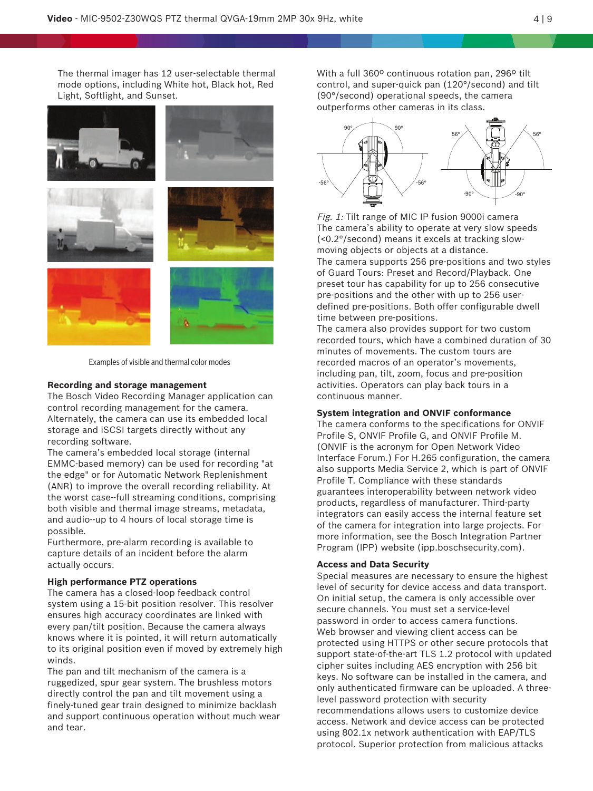The thermal imager has 12 user-selectable thermal mode options, including White hot, Black hot, Red Light, Softlight, and Sunset.



Examples of visible and thermal color modes

#### **Recording and storage management**

The Bosch Video Recording Manager application can control recording management for the camera. Alternately, the camera can use its embedded local storage and iSCSI targets directly without any recording software.

The camera's embedded local storage (internal EMMC-based memory) can be used for recording "at the edge" or for Automatic Network Replenishment (ANR) to improve the overall recording reliability. At the worst case--full streaming conditions, comprising both visible and thermal image streams, metadata, and audio--up to 4 hours of local storage time is possible.

Furthermore, pre-alarm recording is available to capture details of an incident before the alarm actually occurs.

#### **High performance PTZ operations**

The camera has a closed-loop feedback control system using a 15-bit position resolver. This resolver ensures high accuracy coordinates are linked with every pan/tilt position. Because the camera always knows where it is pointed, it will return automatically to its original position even if moved by extremely high winds.

The pan and tilt mechanism of the camera is a ruggedized, spur gear system. The brushless motors directly control the pan and tilt movement using a finely-tuned gear train designed to minimize backlash and support continuous operation without much wear and tear.

With a full 360º continuous rotation pan, 296º tilt control, and super-quick pan (120°/second) and tilt (90°/second) operational speeds, the camera outperforms other cameras in its class.



Fig. 1: Tilt range of MIC IP fusion 9000i camera The camera's ability to operate at very slow speeds (<0.2°/second) means it excels at tracking slowmoving objects or objects at a distance.

The camera supports 256 pre-positions and two styles of Guard Tours: Preset and Record/Playback. One preset tour has capability for up to 256 consecutive pre-positions and the other with up to 256 userdefined pre-positions. Both offer configurable dwell time between pre-positions.

The camera also provides support for two custom recorded tours, which have a combined duration of 30 minutes of movements. The custom tours are recorded macros of an operator's movements, including pan, tilt, zoom, focus and pre-position activities. Operators can play back tours in a continuous manner.

#### **System integration and ONVIF conformance**

The camera conforms to the specifications for ONVIF Profile S, ONVIF Profile G, and ONVIF Profile M. (ONVIF is the acronym for Open Network Video Interface Forum.) For H.265 configuration, the camera also supports Media Service 2, which is part of ONVIF Profile T. Compliance with these standards guarantees interoperability between network video products, regardless of manufacturer. Third-party integrators can easily access the internal feature set of the camera for integration into large projects. For more information, see the Bosch Integration Partner Program (IPP) website (ipp.boschsecurity.com).

# **Access and Data Security**

Special measures are necessary to ensure the highest level of security for device access and data transport. On initial setup, the camera is only accessible over secure channels. You must set a service-level password in order to access camera functions. Web browser and viewing client access can be protected using HTTPS or other secure protocols that support state-of-the-art TLS 1.2 protocol with updated cipher suites including AES encryption with 256 bit keys. No software can be installed in the camera, and only authenticated firmware can be uploaded. A threelevel password protection with security recommendations allows users to customize device access. Network and device access can be protected using 802.1x network authentication with EAP/TLS protocol. Superior protection from malicious attacks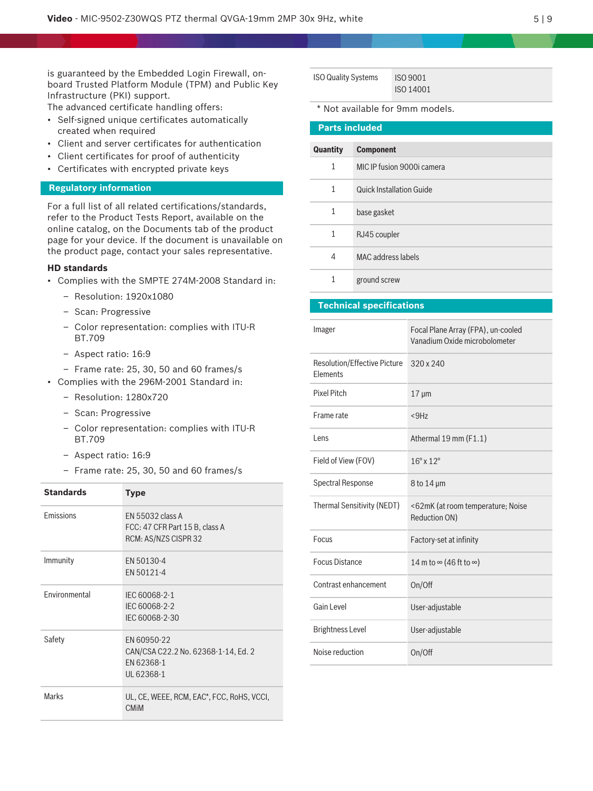is guaranteed by the Embedded Login Firewall, onboard Trusted Platform Module (TPM) and Public Key Infrastructure (PKI) support.

The advanced certificate handling offers:

- Self-signed unique certificates automatically created when required
- Client and server certificates for authentication
- Client certificates for proof of authenticity
- Certificates with encrypted private keys

# **Regulatory information**

For a full list of all related certifications/standards, refer to the Product Tests Report, available on the online catalog, on the Documents tab of the product page for your device. If the document is unavailable on the product page, contact your sales representative.

#### **HD standards**

- Complies with the SMPTE 274M-2008 Standard in:
	- Resolution: 1920x1080
	- Scan: Progressive
	- Color representation: complies with ITU-R BT.709
	- Aspect ratio: 16:9
	- Frame rate: 25, 30, 50 and 60 frames/s
- Complies with the 296M-2001 Standard in:
	- Resolution: 1280x720
	- Scan: Progressive
	- Color representation: complies with ITU-R BT.709
	- Aspect ratio: 16:9
	- Frame rate: 25, 30, 50 and 60 frames/s

| <b>Standards</b> | <b>Type</b>                                                                    |
|------------------|--------------------------------------------------------------------------------|
| Emissions        | EN 55032 class A<br>FCC: 47 CFR Part 15 B, class A<br>RCM: AS/NZS CISPR 32     |
| Immunity         | EN 50130-4<br>EN 50121-4                                                       |
| Environmental    | IEC 60068-2-1<br>IEC 60068-2-2<br>IEC 60068-2-30                               |
| Safety           | EN 60950-22<br>CAN/CSA C22.2 No. 62368-1-14, Ed. 2<br>EN 62368-1<br>UL 62368-1 |
| <b>Marks</b>     | UL, CE, WEEE, RCM, EAC*, FCC, RoHS, VCCI,<br><b>CMIM</b>                       |

| <b>ISO Quality Systems</b> | <b>ISO 9001</b> |
|----------------------------|-----------------|
|                            | ISO 14001       |

\* Not available for 9mm models.

| <b>Parts included</b> |                                 |  |
|-----------------------|---------------------------------|--|
| Quantity              | <b>Component</b>                |  |
| $\mathbf{1}$          | MIC IP fusion 9000i camera      |  |
| $\mathbf{1}$          | <b>Quick Installation Guide</b> |  |
| $\mathbf{1}$          | base gasket                     |  |
| 1                     | RJ45 coupler                    |  |
| 4                     | MAC address labels              |  |
| 1                     | ground screw                    |  |

# **Technical specifications**

| Imager                                                 | Focal Plane Array (FPA), un-cooled<br>Vanadium Oxide microbolometer |
|--------------------------------------------------------|---------------------------------------------------------------------|
| <b>Resolution/Effective Picture</b><br><b>Flements</b> | $320 \times 240$                                                    |
| <b>Pixel Pitch</b>                                     | $17 \mu m$                                                          |
| Frame rate                                             | $<$ 9Hz                                                             |
| Lens                                                   | Athermal 19 mm (F1.1)                                               |
| Field of View (FOV)                                    | $16^{\circ}$ x $12^{\circ}$                                         |
| <b>Spectral Response</b>                               | $8$ to 14 $\mu$ m                                                   |
| <b>Thermal Sensitivity (NEDT)</b>                      | <62mK (at room temperature; Noise<br>Reduction ON)                  |
| Focus                                                  | Factory-set at infinity                                             |
| <b>Focus Distance</b>                                  | 14 m to $\infty$ (46 ft to $\infty$ )                               |
| Contrast enhancement                                   | On/Off                                                              |
| Gain Level                                             | User-adjustable                                                     |
| <b>Brightness Level</b>                                | User-adjustable                                                     |
| Noise reduction                                        | On/Off                                                              |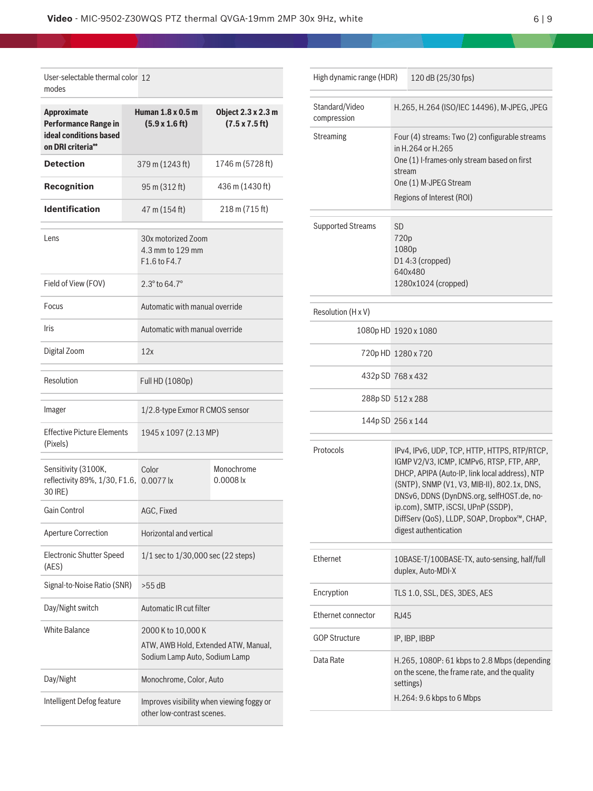| User-selectable thermal color 12<br>modes                                                        |  |                                                                                             |                                                     |  |  |
|--------------------------------------------------------------------------------------------------|--|---------------------------------------------------------------------------------------------|-----------------------------------------------------|--|--|
| <b>Approximate</b><br><b>Performance Range in</b><br>ideal conditions based<br>on DRI criteria** |  | Human 1.8 x 0.5 m<br>$(5.9 \times 1.6 \text{ ft})$                                          | Object 2.3 x 2.3 m<br>$(7.5 \times 7.5 \text{ ft})$ |  |  |
| <b>Detection</b>                                                                                 |  | 379 m (1243 ft)                                                                             | 1746 m (5728 ft)                                    |  |  |
| <b>Recognition</b>                                                                               |  | 95 m (312 ft)                                                                               | 436 m (1430 ft)                                     |  |  |
| <b>Identification</b>                                                                            |  | 47 m (154 ft)                                                                               | 218 m (715 ft)                                      |  |  |
| Lens                                                                                             |  | 30x motorized Zoom<br>4.3 mm to 129 mm<br>F1.6 to F4.7                                      |                                                     |  |  |
| Field of View (FOV)                                                                              |  | $2.3^{\circ}$ to 64.7 $^{\circ}$                                                            |                                                     |  |  |
| Focus                                                                                            |  |                                                                                             | Automatic with manual override                      |  |  |
| <b>Iris</b>                                                                                      |  | Automatic with manual override                                                              |                                                     |  |  |
| Digital Zoom                                                                                     |  |                                                                                             | 12x                                                 |  |  |
| Resolution                                                                                       |  | Full HD (1080p)                                                                             |                                                     |  |  |
| Imager                                                                                           |  | 1/2.8-type Exmor R CMOS sensor                                                              |                                                     |  |  |
| <b>Effective Picture Elements</b><br>(Pixels)                                                    |  | 1945 x 1097 (2.13 MP)                                                                       |                                                     |  |  |
| Sensitivity (3100K,<br>reflectivity 89%, 1/30, F1.6, 0.0077 lx<br>30 IRE)                        |  | Color                                                                                       | Monochrome<br>$0.0008$ lx                           |  |  |
| Gain Control                                                                                     |  | AGC, Fixed                                                                                  |                                                     |  |  |
| <b>Aperture Correction</b>                                                                       |  | Horizontal and vertical                                                                     |                                                     |  |  |
| <b>Electronic Shutter Speed</b><br>(AES)                                                         |  | $1/1$ sec to $1/30,000$ sec (22 steps)                                                      |                                                     |  |  |
| Signal-to-Noise Ratio (SNR)                                                                      |  | $>55$ dB                                                                                    |                                                     |  |  |
| Day/Night switch                                                                                 |  | Automatic IR cut filter                                                                     |                                                     |  |  |
| <b>White Balance</b>                                                                             |  | 2000 K to 10,000 K<br>ATW, AWB Hold, Extended ATW, Manual,<br>Sodium Lamp Auto, Sodium Lamp |                                                     |  |  |
| Day/Night                                                                                        |  | Monochrome, Color, Auto                                                                     |                                                     |  |  |
| Intelligent Defog feature                                                                        |  | Improves visibility when viewing foggy or<br>other low-contrast scenes.                     |                                                     |  |  |

| High dynamic range (HDR)      |                                                                                                                                                                                    | 120 dB (25/30 fps)                                                                                                                                                                                                                                                                                                                                    |
|-------------------------------|------------------------------------------------------------------------------------------------------------------------------------------------------------------------------------|-------------------------------------------------------------------------------------------------------------------------------------------------------------------------------------------------------------------------------------------------------------------------------------------------------------------------------------------------------|
| Standard/Video<br>compression | H.265, H.264 (ISO/IEC 14496), M-JPEG, JPEG                                                                                                                                         |                                                                                                                                                                                                                                                                                                                                                       |
| Streaming                     | Four (4) streams: Two (2) configurable streams<br>in H.264 or H.265<br>One (1) I-frames-only stream based on first<br>stream<br>One (1) M-JPEG Stream<br>Regions of Interest (ROI) |                                                                                                                                                                                                                                                                                                                                                       |
| <b>Supported Streams</b>      | SD<br>720p<br>1080p<br>D14:3 (cropped)<br>640x480<br>1280x1024 (cropped)                                                                                                           |                                                                                                                                                                                                                                                                                                                                                       |
| Resolution (H x V)            |                                                                                                                                                                                    |                                                                                                                                                                                                                                                                                                                                                       |
| 1080p HD 1920 x 1080          |                                                                                                                                                                                    |                                                                                                                                                                                                                                                                                                                                                       |
| 720pHD 1280 x 720             |                                                                                                                                                                                    |                                                                                                                                                                                                                                                                                                                                                       |
| 432p SD 768 x 432             |                                                                                                                                                                                    |                                                                                                                                                                                                                                                                                                                                                       |
| 288p SD 512 x 288             |                                                                                                                                                                                    |                                                                                                                                                                                                                                                                                                                                                       |
| 144p SD 256 x 144             |                                                                                                                                                                                    |                                                                                                                                                                                                                                                                                                                                                       |
| Protocols                     |                                                                                                                                                                                    | IPv4, IPv6, UDP, TCP, HTTP, HTTPS, RTP/RTCP,<br>IGMP V2/V3, ICMP, ICMPv6, RTSP, FTP, ARP,<br>DHCP, APIPA (Auto-IP, link local address), NTP<br>(SNTP), SNMP (V1, V3, MIB-II), 802.1x, DNS,<br>DNSv6, DDNS (DynDNS.org, selfHOST.de, no-<br>ip.com), SMTP, iSCSI, UPnP (SSDP),<br>DiffServ (QoS), LLDP, SOAP, Dropbox™, CHAP,<br>digest authentication |
| Ethernet                      |                                                                                                                                                                                    | 10BASE-T/100BASE-TX, auto-sensing, half/full<br>duplex, Auto-MDI-X                                                                                                                                                                                                                                                                                    |
| Encryption                    |                                                                                                                                                                                    | TLS 1.0, SSL, DES, 3DES, AES                                                                                                                                                                                                                                                                                                                          |
| Ethernet connector            | RJ45                                                                                                                                                                               |                                                                                                                                                                                                                                                                                                                                                       |
| <b>GOP Structure</b>          |                                                                                                                                                                                    | IP, IBP, IBBP                                                                                                                                                                                                                                                                                                                                         |
| Data Rate                     | H.265, 1080P: 61 kbps to 2.8 Mbps (depending<br>on the scene, the frame rate, and the quality<br>settings)<br>H.264: 9.6 kbps to 6 Mbps                                            |                                                                                                                                                                                                                                                                                                                                                       |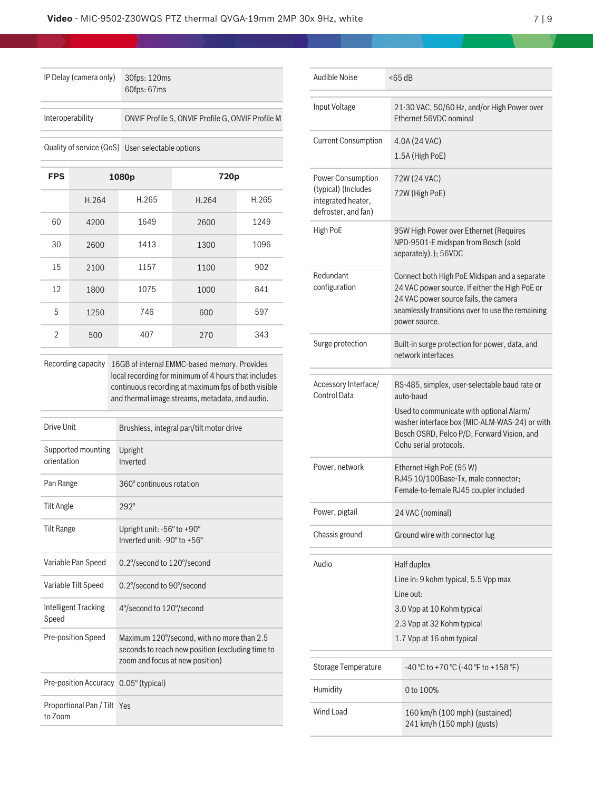| IP Delay (camera only) | 30fps: 120ms<br>60fps: 67ms                       |
|------------------------|---------------------------------------------------|
| Interoperability       | ONVIF Profile S, ONVIF Profile G, ONVIF Profile M |
|                        | Quality of service (QoS) User-selectable options  |

| <b>FPS</b>     |       | 1080p | 720p  |       |
|----------------|-------|-------|-------|-------|
|                | H.264 | H.265 | H.264 | H.265 |
| 60             | 4200  | 1649  | 2600  | 1249  |
| 30             | 2600  | 1413  | 1300  | 1096  |
| 15             | 2100  | 1157  | 1100  | 902   |
| 12             | 1800  | 1075  | 1000  | 841   |
| 5              | 1250  | 746   | 600   | 597   |
| $\mathfrak{D}$ | 500   | 407   | 270   | 343   |

Recording capacity 16GB of internal EMMC-based memory. Provides local recording for minimum of 4 hours that includes continuous recording at maximum fps of both visible and thermal image streams, metadata, and audio.

| Drive Unit                             | Brushless, integral pan/tilt motor drive                                                                                          |
|----------------------------------------|-----------------------------------------------------------------------------------------------------------------------------------|
| Supported mounting<br>orientation      | Upright<br>Inverted                                                                                                               |
| Pan Range                              | 360° continuous rotation                                                                                                          |
| <b>Tilt Angle</b>                      | $292^\circ$                                                                                                                       |
| <b>Tilt Range</b>                      | Upright unit: $-56^\circ$ to $+90^\circ$<br>Inverted unit: -90° to +56°                                                           |
| Variable Pan Speed                     | 0.2°/second to 120°/second                                                                                                        |
| Variable Tilt Speed                    | 0.2°/second to 90°/second                                                                                                         |
| Intelligent Tracking<br>Speed          | 4°/second to 120°/second                                                                                                          |
| Pre-position Speed                     | Maximum 120°/second, with no more than 2.5<br>seconds to reach new position (excluding time to<br>zoom and focus at new position) |
| Pre-position Accuracy 0.05° (typical)  |                                                                                                                                   |
| Proportional Pan / Tilt Yes<br>to Zoom |                                                                                                                                   |

| Audible Noise                                                                         |  | < 65 dB                                                                                                                                                                                                                         |  |  |
|---------------------------------------------------------------------------------------|--|---------------------------------------------------------------------------------------------------------------------------------------------------------------------------------------------------------------------------------|--|--|
| Input Voltage                                                                         |  | 21-30 VAC, 50/60 Hz, and/or High Power over<br>Ethernet 56VDC nominal                                                                                                                                                           |  |  |
| <b>Current Consumption</b>                                                            |  | 4.0A (24 VAC)<br>1.5A (High PoE)                                                                                                                                                                                                |  |  |
| Power Consumption<br>(typical) (Includes<br>integrated heater,<br>defroster, and fan) |  | 72W (24 VAC)<br>72W (High PoE)                                                                                                                                                                                                  |  |  |
| High PoE                                                                              |  | 95W High Power over Ethernet (Requires<br>NPD-9501-E midspan from Bosch (sold<br>separately).); 56VDC                                                                                                                           |  |  |
| Redundant<br>configuration                                                            |  | Connect both High PoE Midspan and a separate<br>24 VAC power source. If either the High PoE or<br>24 VAC power source fails, the camera<br>seamlessly transitions over to use the remaining<br>power source.                    |  |  |
| Surge protection                                                                      |  | Built-in surge protection for power, data, and<br>network interfaces                                                                                                                                                            |  |  |
| Accessory Interface/<br><b>Control Data</b>                                           |  | RS-485, simplex, user-selectable baud rate or<br>auto-baud<br>Used to communicate with optional Alarm/<br>washer interface box (MIC-ALM-WAS-24) or with<br>Bosch OSRD, Pelco P/D, Forward Vision, and<br>Cohu serial protocols. |  |  |
| Power, network                                                                        |  | Ethernet High PoE (95 W)<br>RJ45 10/100Base-Tx, male connector;<br>Female-to-female RJ45 coupler included                                                                                                                       |  |  |
| Power, pigtail                                                                        |  | 24 VAC (nominal)                                                                                                                                                                                                                |  |  |
| Chassis ground                                                                        |  | Ground wire with connector lug                                                                                                                                                                                                  |  |  |
| Audio                                                                                 |  | Half duplex<br>Line in: 9 kohm typical, 5.5 Vpp max<br>Line out:<br>3.0 Vpp at 10 Kohm typical<br>2.3 Vpp at 32 Kohm typical<br>1.7 Vpp at 16 ohm typical                                                                       |  |  |
| <b>Storage Temperature</b>                                                            |  | -40 °C to +70 °C (-40 °F to +158 °F)                                                                                                                                                                                            |  |  |
| Humidity                                                                              |  | 0 to 100%                                                                                                                                                                                                                       |  |  |
| Wind Load                                                                             |  | 160 km/h (100 mph) (sustained)<br>241 km/h (150 mph) (gusts)                                                                                                                                                                    |  |  |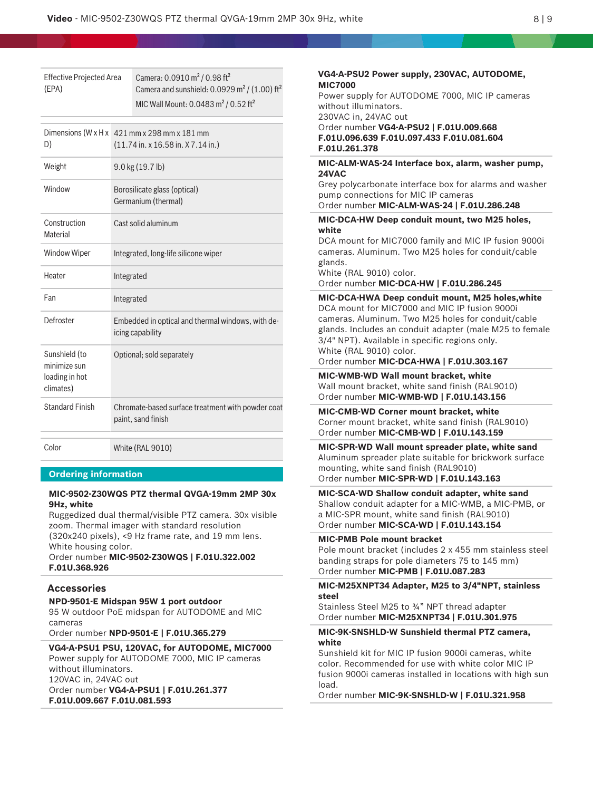Effective Projected Area (EPA) Camera: 0.0910 m² / 0.98 ft² Camera and sunshield:  $0.0929$  m<sup>2</sup> / (1.00) ft<sup>2</sup> MIC Wall Mount: 0.0483 m<sup>2</sup> / 0.52 ft<sup>2</sup>

| D)                                                           | Dimensions (W $x$ H $x$ 421 mm $x$ 298 mm $x$ 181 mm<br>$(11.74 \text{ in. x } 16.58 \text{ in. X } 7.14 \text{ in.})$ |
|--------------------------------------------------------------|------------------------------------------------------------------------------------------------------------------------|
| Weight                                                       | $9.0$ kg $(19.7$ lb)                                                                                                   |
| Window                                                       | Borosilicate glass (optical)<br>Germanium (thermal)                                                                    |
| Construction<br>Material                                     | Cast solid aluminum                                                                                                    |
| <b>Window Wiper</b>                                          | Integrated, long-life silicone wiper                                                                                   |
| Heater                                                       | Integrated                                                                                                             |
| Fan                                                          | Integrated                                                                                                             |
| Defroster                                                    | Embedded in optical and thermal windows, with de-<br>icing capability                                                  |
| Sunshield (to<br>minimize sun<br>loading in hot<br>climates) | Optional; sold separately                                                                                              |
| Standard Finish                                              | Chromate-based surface treatment with powder coat<br>paint, sand finish                                                |
| Color                                                        | <b>White (RAL 9010)</b>                                                                                                |

### **Ordering information**

### **MIC-9502-Z30WQS PTZ thermal QVGA-19mm 2MP 30x 9Hz, white**

Ruggedized dual thermal/visible PTZ camera. 30x visible zoom. Thermal imager with standard resolution (320x240 pixels), <9 Hz frame rate, and 19 mm lens.

White housing color. Order number **MIC-9502-Z30WQS | F.01U.322.002 F.01U.368.926**

#### **Accessories**

**NPD-9501-E Midspan 95W 1 port outdoor** 95 W outdoor PoE midspan for AUTODOME and MIC cameras

Order number **NPD-9501-E | F.01U.365.279**

#### **VG4-A-PSU1 PSU, 120VAC, for AUTODOME, MIC7000** Power supply for AUTODOME 7000, MIC IP cameras

without illuminators. 120VAC in, 24VAC out Order number **VG4-A-PSU1 | F.01U.261.377 F.01U.009.667 F.01U.081.593**

**VG4-A-PSU2 Power supply, 230VAC, AUTODOME, MIC7000** Power supply for AUTODOME 7000, MIC IP cameras without illuminators. 230VAC in, 24VAC out Order number **VG4-A-PSU2 | F.01U.009.668 F.01U.096.639 F.01U.097.433 F.01U.081.604 F.01U.261.378 MIC-ALM-WAS-24 Interface box, alarm, washer pump, 24VAC** Grey polycarbonate interface box for alarms and washer pump connections for MIC IP cameras Order number **MIC-ALM-WAS-24 | F.01U.286.248 MIC-DCA-HW Deep conduit mount, two M25 holes, white** DCA mount for MIC7000 family and MIC IP fusion 9000i cameras. Aluminum. Two M25 holes for conduit/cable glands. White (RAL 9010) color. Order number **MIC-DCA-HW | F.01U.286.245 MIC-DCA-HWA Deep conduit mount, M25 holes,white** DCA mount for MIC7000 and MIC IP fusion 9000i cameras. Aluminum. Two M25 holes for conduit/cable glands. Includes an conduit adapter (male M25 to female 3/4" NPT). Available in specific regions only. White (RAL 9010) color. Order number **MIC-DCA-HWA | F.01U.303.167 MIC-WMB-WD Wall mount bracket, white** Wall mount bracket, white sand finish (RAL9010) Order number **MIC-WMB-WD | F.01U.143.156 MIC-CMB-WD Corner mount bracket, white** Corner mount bracket, white sand finish (RAL9010) Order number **MIC-CMB-WD | F.01U.143.159 MIC-SPR-WD Wall mount spreader plate, white sand** Aluminum spreader plate suitable for brickwork surface mounting, white sand finish (RAL9010) Order number **MIC-SPR-WD | F.01U.143.163 MIC-SCA-WD Shallow conduit adapter, white sand** Shallow conduit adapter for a MIC-WMB, a MIC-PMB, or a MIC-SPR mount, white sand finish (RAL9010) Order number **MIC-SCA-WD | F.01U.143.154 MIC-PMB Pole mount bracket** Pole mount bracket (includes 2 x 455 mm stainless steel banding straps for pole diameters 75 to 145 mm) Order number **MIC-PMB | F.01U.087.283 MIC-M25XNPT34 Adapter, M25 to 3/4"NPT, stainless steel** Stainless Steel M25 to ¾" NPT thread adapter Order number **MIC-M25XNPT34 | F.01U.301.975 MIC-9K-SNSHLD-W Sunshield thermal PTZ camera, white** Sunshield kit for MIC IP fusion 9000i cameras, white color. Recommended for use with white color MIC IP

fusion 9000i cameras installed in locations with high sun load.

Order number **MIC-9K-SNSHLD-W | F.01U.321.958**